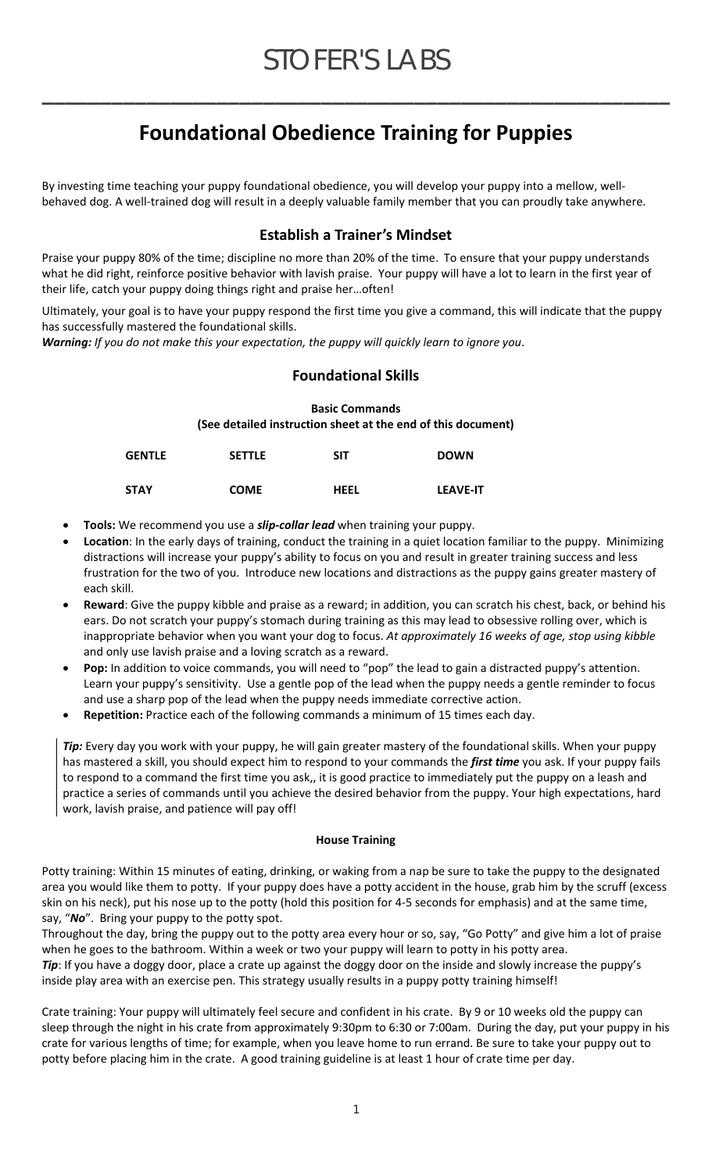**\_\_\_\_\_\_\_\_\_\_\_\_\_\_\_\_\_\_\_\_\_\_\_\_\_\_\_\_\_\_\_\_\_\_\_\_\_\_\_\_\_\_\_\_\_\_\_\_\_\_\_\_\_\_** 

# **Foundational Obedience Training for Puppies**

By investing time teaching your puppy foundational obedience, you will develop your puppy into a mellow, well‐ behaved dog. A well‐trained dog will result in a deeply valuable family member that you can proudly take anywhere.

## **Establish a Trainer's Mindset**

Praise your puppy 80% of the time; discipline no more than 20% of the time. To ensure that your puppy understands what he did right, reinforce positive behavior with lavish praise. Your puppy will have a lot to learn in the first year of their life, catch your puppy doing things right and praise her…often!

Ultimately, your goal is to have your puppy respond the first time you give a command, this will indicate that the puppy has successfully mastered the foundational skills.

*Warning: If you do not make this your expectation, the puppy will quickly learn to ignore you*.

### **Foundational Skills**

**Basic Commands (See detailed instruction sheet at the end of this document)**

| <b>GENTLE</b> | <b>SETTLE</b> | SIT         | <b>DOWN</b>     |
|---------------|---------------|-------------|-----------------|
| STAY          | <b>COME</b>   | <b>HEEL</b> | <b>LEAVE-IT</b> |

- **Tools:** We recommend you use a *slip‐collar lead* when training your puppy.
- **Location**: In the early days of training, conduct the training in a quiet location familiar to the puppy. Minimizing distractions will increase your puppy's ability to focus on you and result in greater training success and less frustration for the two of you. Introduce new locations and distractions as the puppy gains greater mastery of each skill.
- **Reward**: Give the puppy kibble and praise as a reward; in addition, you can scratch his chest, back, or behind his ears. Do not scratch your puppy's stomach during training as this may lead to obsessive rolling over, which is inappropriate behavior when you want your dog to focus. *At approximately 16 weeks of age, stop using kibble* and only use lavish praise and a loving scratch as a reward.
- **Pop:** In addition to voice commands, you will need to "pop" the lead to gain a distracted puppy's attention. Learn your puppy's sensitivity. Use a gentle pop of the lead when the puppy needs a gentle reminder to focus and use a sharp pop of the lead when the puppy needs immediate corrective action.
- **Repetition:** Practice each of the following commands a minimum of 15 times each day.

*Tip:* Every day you work with your puppy, he will gain greater mastery of the foundational skills. When your puppy has mastered a skill, you should expect him to respond to your commands the *first time* you ask. If your puppy fails to respond to a command the first time you ask,, it is good practice to immediately put the puppy on a leash and practice a series of commands until you achieve the desired behavior from the puppy. Your high expectations, hard work, lavish praise, and patience will pay off!

#### **House Training**

Potty training: Within 15 minutes of eating, drinking, or waking from a nap be sure to take the puppy to the designated area you would like them to potty. If your puppy does have a potty accident in the house, grab him by the scruff (excess skin on his neck), put his nose up to the potty (hold this position for 4‐5 seconds for emphasis) and at the same time, say, "*No*". Bring your puppy to the potty spot.

Throughout the day, bring the puppy out to the potty area every hour or so, say, "Go Potty" and give him a lot of praise when he goes to the bathroom. Within a week or two your puppy will learn to potty in his potty area. Tip: If you have a doggy door, place a crate up against the doggy door on the inside and slowly increase the puppy's

inside play area with an exercise pen. This strategy usually results in a puppy potty training himself!

Crate training: Your puppy will ultimately feel secure and confident in his crate. By 9 or 10 weeks old the puppy can sleep through the night in his crate from approximately 9:30pm to 6:30 or 7:00am. During the day, put your puppy in his crate for various lengths of time; for example, when you leave home to run errand. Be sure to take your puppy out to potty before placing him in the crate. A good training guideline is at least 1 hour of crate time per day.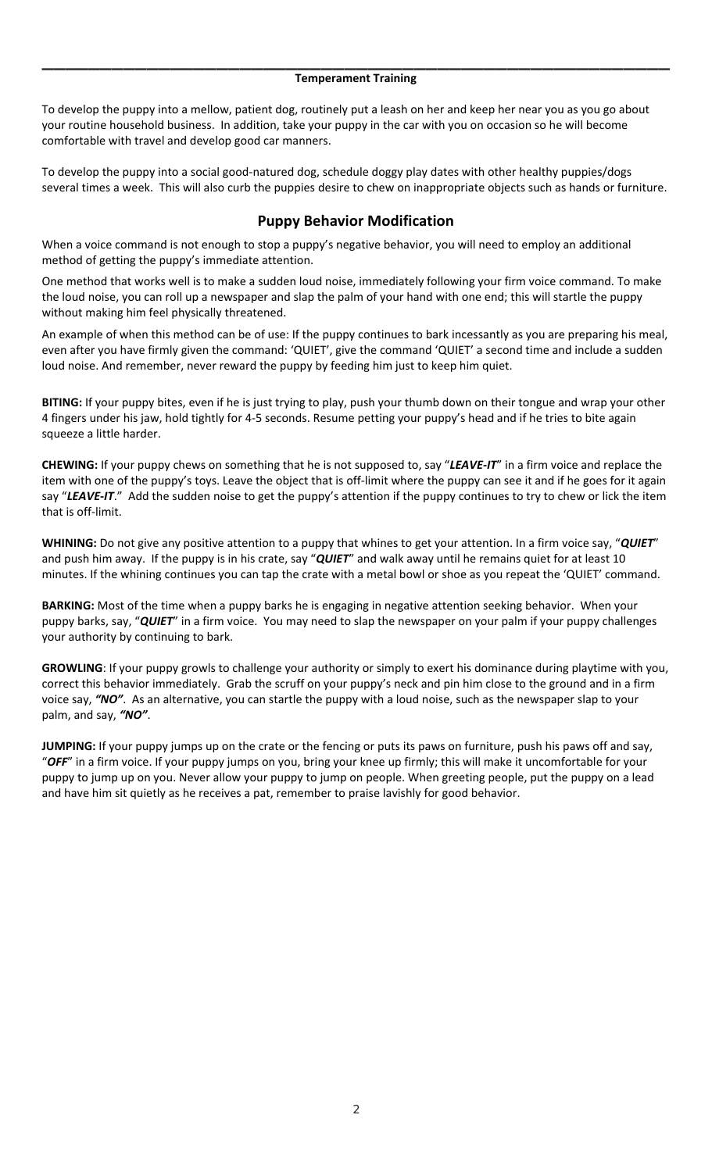## **\_\_\_\_\_\_\_\_\_\_\_\_\_\_\_\_\_\_\_\_\_\_\_\_\_\_\_\_\_\_\_\_\_\_\_\_\_\_\_\_\_\_\_\_\_\_\_\_\_\_\_\_\_\_ Temperament Training**

To develop the puppy into a mellow, patient dog, routinely put a leash on her and keep her near you as you go about your routine household business. In addition, take your puppy in the car with you on occasion so he will become comfortable with travel and develop good car manners.

To develop the puppy into a social good‐natured dog, schedule doggy play dates with other healthy puppies/dogs several times a week. This will also curb the puppies desire to chew on inappropriate objects such as hands or furniture.

#### **Puppy Behavior Modification**

When a voice command is not enough to stop a puppy's negative behavior, you will need to employ an additional method of getting the puppy's immediate attention.

One method that works well is to make a sudden loud noise, immediately following your firm voice command. To make the loud noise, you can roll up a newspaper and slap the palm of your hand with one end; this will startle the puppy without making him feel physically threatened.

An example of when this method can be of use: If the puppy continues to bark incessantly as you are preparing his meal, even after you have firmly given the command: 'QUIET', give the command 'QUIET' a second time and include a sudden loud noise. And remember, never reward the puppy by feeding him just to keep him quiet.

**BITING:** If your puppy bites, even if he is just trying to play, push your thumb down on their tongue and wrap your other 4 fingers under his jaw, hold tightly for 4‐5 seconds. Resume petting your puppy's head and if he tries to bite again squeeze a little harder.

**CHEWING:** If your puppy chews on something that he is not supposed to, say "*LEAVE‐IT*" in a firm voice and replace the item with one of the puppy's toys. Leave the object that is off‐limit where the puppy can see it and if he goes for it again say "*LEAVE‐IT*." Add the sudden noise to get the puppy's attention if the puppy continues to try to chew or lick the item that is off‐limit.

**WHINING:** Do not give any positive attention to a puppy that whines to get your attention. In a firm voice say, "*QUIET*" and push him away. If the puppy is in his crate, say "*QUIET*" and walk away until he remains quiet for at least 10 minutes. If the whining continues you can tap the crate with a metal bowl or shoe as you repeat the 'QUIET' command.

**BARKING:** Most of the time when a puppy barks he is engaging in negative attention seeking behavior. When your puppy barks, say, "*QUIET*" in a firm voice. You may need to slap the newspaper on your palm if your puppy challenges your authority by continuing to bark.

**GROWLING**: If your puppy growls to challenge your authority or simply to exert his dominance during playtime with you, correct this behavior immediately. Grab the scruff on your puppy's neck and pin him close to the ground and in a firm voice say, *"NO"*. As an alternative, you can startle the puppy with a loud noise, such as the newspaper slap to your palm, and say, *"NO"*.

**JUMPING:** If your puppy jumps up on the crate or the fencing or puts its paws on furniture, push his paws off and say, "*OFF*" in a firm voice. If your puppy jumps on you, bring your knee up firmly; this will make it uncomfortable for your puppy to jump up on you. Never allow your puppy to jump on people. When greeting people, put the puppy on a lead and have him sit quietly as he receives a pat, remember to praise lavishly for good behavior.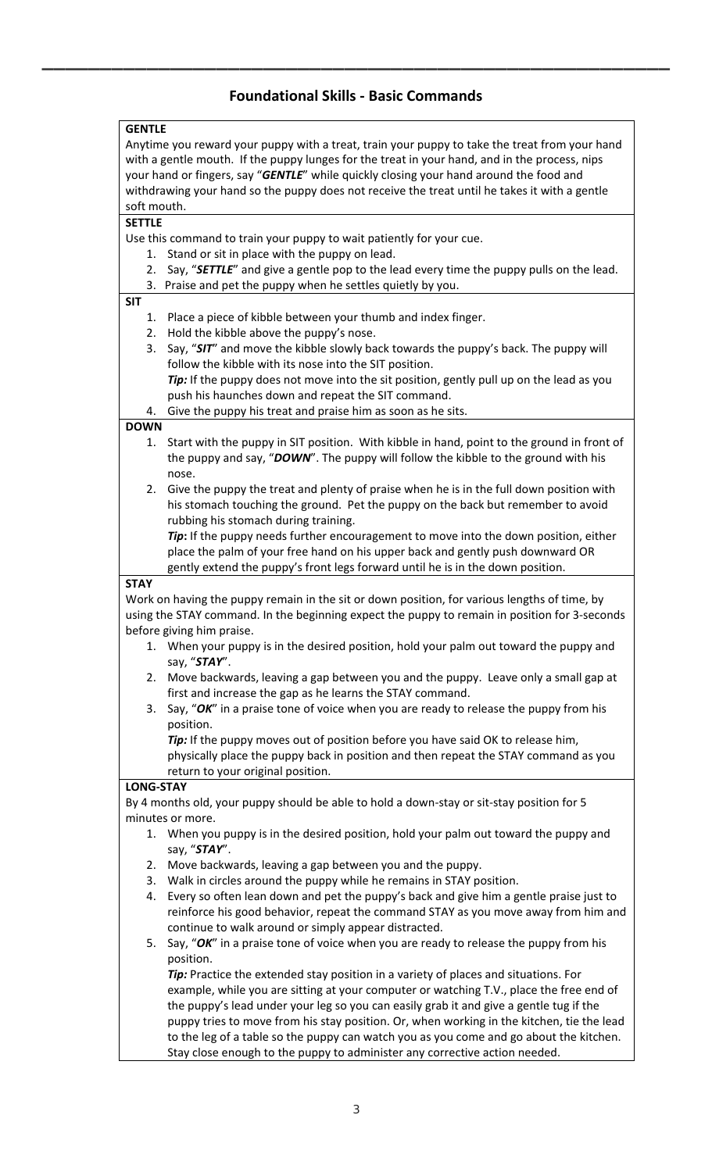# **Foundational Skills ‐ Basic Commands**

**\_\_\_\_\_\_\_\_\_\_\_\_\_\_\_\_\_\_\_\_\_\_\_\_\_\_\_\_\_\_\_\_\_\_\_\_\_\_\_\_\_\_\_\_\_\_\_\_\_\_\_\_\_\_** 

| Anytime you reward your puppy with a treat, train your puppy to take the treat from your hand<br>with a gentle mouth. If the puppy lunges for the treat in your hand, and in the process, nips<br>your hand or fingers, say "GENTLE" while quickly closing your hand around the food and<br>withdrawing your hand so the puppy does not receive the treat until he takes it with a gentle<br>soft mouth.<br><b>SETTLE</b><br>Use this command to train your puppy to wait patiently for your cue.<br>Stand or sit in place with the puppy on lead.<br>1.<br>2.<br>Say, "SETTLE" and give a gentle pop to the lead every time the puppy pulls on the lead.<br>Praise and pet the puppy when he settles quietly by you.<br>3.<br><b>SIT</b><br>Place a piece of kibble between your thumb and index finger.<br>1.<br>Hold the kibble above the puppy's nose.<br>2.<br>Say, "SIT" and move the kibble slowly back towards the puppy's back. The puppy will<br>3.<br>follow the kibble with its nose into the SIT position.<br>Tip: If the puppy does not move into the sit position, gently pull up on the lead as you<br>push his haunches down and repeat the SIT command.<br>Give the puppy his treat and praise him as soon as he sits.<br>4.<br><b>DOWN</b><br>Start with the puppy in SIT position. With kibble in hand, point to the ground in front of<br>1.<br>the puppy and say, "DOWN". The puppy will follow the kibble to the ground with his<br>nose.<br>Give the puppy the treat and plenty of praise when he is in the full down position with<br>2.<br>his stomach touching the ground. Pet the puppy on the back but remember to avoid<br>rubbing his stomach during training.<br>Tip: If the puppy needs further encouragement to move into the down position, either<br>place the palm of your free hand on his upper back and gently push downward OR<br>gently extend the puppy's front legs forward until he is in the down position.<br><b>STAY</b><br>Work on having the puppy remain in the sit or down position, for various lengths of time, by<br>using the STAY command. In the beginning expect the puppy to remain in position for 3-seconds<br>before giving him praise.<br>When your puppy is in the desired position, hold your palm out toward the puppy and<br>1.<br>say, "STAY".<br>Move backwards, leaving a gap between you and the puppy. Leave only a small gap at<br>2.<br>first and increase the gap as he learns the STAY command.<br>Say, "OK" in a praise tone of voice when you are ready to release the puppy from his<br>3.<br>position.<br>Tip: If the puppy moves out of position before you have said OK to release him,<br>physically place the puppy back in position and then repeat the STAY command as you<br>return to your original position.<br><b>LONG-STAY</b><br>By 4 months old, your puppy should be able to hold a down-stay or sit-stay position for 5<br>minutes or more.<br>1. When you puppy is in the desired position, hold your palm out toward the puppy and<br>say, "STAY".<br>Move backwards, leaving a gap between you and the puppy.<br>2.<br>Walk in circles around the puppy while he remains in STAY position.<br>3.<br>Every so often lean down and pet the puppy's back and give him a gentle praise just to<br>4.<br>reinforce his good behavior, repeat the command STAY as you move away from him and<br>continue to walk around or simply appear distracted.<br>Say, "OK" in a praise tone of voice when you are ready to release the puppy from his<br>5.<br>position.<br>Tip: Practice the extended stay position in a variety of places and situations. For<br>example, while you are sitting at your computer or watching T.V., place the free end of<br>the puppy's lead under your leg so you can easily grab it and give a gentle tug if the<br>puppy tries to move from his stay position. Or, when working in the kitchen, tie the lead | <b>GENTLE</b> |                                                                                        |  |  |  |  |
|---------------------------------------------------------------------------------------------------------------------------------------------------------------------------------------------------------------------------------------------------------------------------------------------------------------------------------------------------------------------------------------------------------------------------------------------------------------------------------------------------------------------------------------------------------------------------------------------------------------------------------------------------------------------------------------------------------------------------------------------------------------------------------------------------------------------------------------------------------------------------------------------------------------------------------------------------------------------------------------------------------------------------------------------------------------------------------------------------------------------------------------------------------------------------------------------------------------------------------------------------------------------------------------------------------------------------------------------------------------------------------------------------------------------------------------------------------------------------------------------------------------------------------------------------------------------------------------------------------------------------------------------------------------------------------------------------------------------------------------------------------------------------------------------------------------------------------------------------------------------------------------------------------------------------------------------------------------------------------------------------------------------------------------------------------------------------------------------------------------------------------------------------------------------------------------------------------------------------------------------------------------------------------------------------------------------------------------------------------------------------------------------------------------------------------------------------------------------------------------------------------------------------------------------------------------------------------------------------------------------------------------------------------------------------------------------------------------------------------------------------------------------------------------------------------------------------------------------------------------------------------------------------------------------------------------------------------------------------------------------------------------------------------------------------------------------------------------------------------------------------------------------------------------------------------------------------------------------------------------------------------------------------------------------------------------------------------------------------------------------------------------------------------------------------------------------------------------------------------------------------------------------------------------------------------------------------------------------------------------------------------------------------------------------------------------------------------------------------------------------------------------------------------------------------------------------------------------------------------------------------------------------------------------------------------------|---------------|----------------------------------------------------------------------------------------|--|--|--|--|
|                                                                                                                                                                                                                                                                                                                                                                                                                                                                                                                                                                                                                                                                                                                                                                                                                                                                                                                                                                                                                                                                                                                                                                                                                                                                                                                                                                                                                                                                                                                                                                                                                                                                                                                                                                                                                                                                                                                                                                                                                                                                                                                                                                                                                                                                                                                                                                                                                                                                                                                                                                                                                                                                                                                                                                                                                                                                                                                                                                                                                                                                                                                                                                                                                                                                                                                                                                                                                                                                                                                                                                                                                                                                                                                                                                                                                                                                                                                                       |               |                                                                                        |  |  |  |  |
|                                                                                                                                                                                                                                                                                                                                                                                                                                                                                                                                                                                                                                                                                                                                                                                                                                                                                                                                                                                                                                                                                                                                                                                                                                                                                                                                                                                                                                                                                                                                                                                                                                                                                                                                                                                                                                                                                                                                                                                                                                                                                                                                                                                                                                                                                                                                                                                                                                                                                                                                                                                                                                                                                                                                                                                                                                                                                                                                                                                                                                                                                                                                                                                                                                                                                                                                                                                                                                                                                                                                                                                                                                                                                                                                                                                                                                                                                                                                       |               |                                                                                        |  |  |  |  |
|                                                                                                                                                                                                                                                                                                                                                                                                                                                                                                                                                                                                                                                                                                                                                                                                                                                                                                                                                                                                                                                                                                                                                                                                                                                                                                                                                                                                                                                                                                                                                                                                                                                                                                                                                                                                                                                                                                                                                                                                                                                                                                                                                                                                                                                                                                                                                                                                                                                                                                                                                                                                                                                                                                                                                                                                                                                                                                                                                                                                                                                                                                                                                                                                                                                                                                                                                                                                                                                                                                                                                                                                                                                                                                                                                                                                                                                                                                                                       |               |                                                                                        |  |  |  |  |
|                                                                                                                                                                                                                                                                                                                                                                                                                                                                                                                                                                                                                                                                                                                                                                                                                                                                                                                                                                                                                                                                                                                                                                                                                                                                                                                                                                                                                                                                                                                                                                                                                                                                                                                                                                                                                                                                                                                                                                                                                                                                                                                                                                                                                                                                                                                                                                                                                                                                                                                                                                                                                                                                                                                                                                                                                                                                                                                                                                                                                                                                                                                                                                                                                                                                                                                                                                                                                                                                                                                                                                                                                                                                                                                                                                                                                                                                                                                                       |               |                                                                                        |  |  |  |  |
|                                                                                                                                                                                                                                                                                                                                                                                                                                                                                                                                                                                                                                                                                                                                                                                                                                                                                                                                                                                                                                                                                                                                                                                                                                                                                                                                                                                                                                                                                                                                                                                                                                                                                                                                                                                                                                                                                                                                                                                                                                                                                                                                                                                                                                                                                                                                                                                                                                                                                                                                                                                                                                                                                                                                                                                                                                                                                                                                                                                                                                                                                                                                                                                                                                                                                                                                                                                                                                                                                                                                                                                                                                                                                                                                                                                                                                                                                                                                       |               |                                                                                        |  |  |  |  |
|                                                                                                                                                                                                                                                                                                                                                                                                                                                                                                                                                                                                                                                                                                                                                                                                                                                                                                                                                                                                                                                                                                                                                                                                                                                                                                                                                                                                                                                                                                                                                                                                                                                                                                                                                                                                                                                                                                                                                                                                                                                                                                                                                                                                                                                                                                                                                                                                                                                                                                                                                                                                                                                                                                                                                                                                                                                                                                                                                                                                                                                                                                                                                                                                                                                                                                                                                                                                                                                                                                                                                                                                                                                                                                                                                                                                                                                                                                                                       |               |                                                                                        |  |  |  |  |
|                                                                                                                                                                                                                                                                                                                                                                                                                                                                                                                                                                                                                                                                                                                                                                                                                                                                                                                                                                                                                                                                                                                                                                                                                                                                                                                                                                                                                                                                                                                                                                                                                                                                                                                                                                                                                                                                                                                                                                                                                                                                                                                                                                                                                                                                                                                                                                                                                                                                                                                                                                                                                                                                                                                                                                                                                                                                                                                                                                                                                                                                                                                                                                                                                                                                                                                                                                                                                                                                                                                                                                                                                                                                                                                                                                                                                                                                                                                                       |               |                                                                                        |  |  |  |  |
|                                                                                                                                                                                                                                                                                                                                                                                                                                                                                                                                                                                                                                                                                                                                                                                                                                                                                                                                                                                                                                                                                                                                                                                                                                                                                                                                                                                                                                                                                                                                                                                                                                                                                                                                                                                                                                                                                                                                                                                                                                                                                                                                                                                                                                                                                                                                                                                                                                                                                                                                                                                                                                                                                                                                                                                                                                                                                                                                                                                                                                                                                                                                                                                                                                                                                                                                                                                                                                                                                                                                                                                                                                                                                                                                                                                                                                                                                                                                       |               |                                                                                        |  |  |  |  |
|                                                                                                                                                                                                                                                                                                                                                                                                                                                                                                                                                                                                                                                                                                                                                                                                                                                                                                                                                                                                                                                                                                                                                                                                                                                                                                                                                                                                                                                                                                                                                                                                                                                                                                                                                                                                                                                                                                                                                                                                                                                                                                                                                                                                                                                                                                                                                                                                                                                                                                                                                                                                                                                                                                                                                                                                                                                                                                                                                                                                                                                                                                                                                                                                                                                                                                                                                                                                                                                                                                                                                                                                                                                                                                                                                                                                                                                                                                                                       |               |                                                                                        |  |  |  |  |
|                                                                                                                                                                                                                                                                                                                                                                                                                                                                                                                                                                                                                                                                                                                                                                                                                                                                                                                                                                                                                                                                                                                                                                                                                                                                                                                                                                                                                                                                                                                                                                                                                                                                                                                                                                                                                                                                                                                                                                                                                                                                                                                                                                                                                                                                                                                                                                                                                                                                                                                                                                                                                                                                                                                                                                                                                                                                                                                                                                                                                                                                                                                                                                                                                                                                                                                                                                                                                                                                                                                                                                                                                                                                                                                                                                                                                                                                                                                                       |               |                                                                                        |  |  |  |  |
|                                                                                                                                                                                                                                                                                                                                                                                                                                                                                                                                                                                                                                                                                                                                                                                                                                                                                                                                                                                                                                                                                                                                                                                                                                                                                                                                                                                                                                                                                                                                                                                                                                                                                                                                                                                                                                                                                                                                                                                                                                                                                                                                                                                                                                                                                                                                                                                                                                                                                                                                                                                                                                                                                                                                                                                                                                                                                                                                                                                                                                                                                                                                                                                                                                                                                                                                                                                                                                                                                                                                                                                                                                                                                                                                                                                                                                                                                                                                       |               |                                                                                        |  |  |  |  |
|                                                                                                                                                                                                                                                                                                                                                                                                                                                                                                                                                                                                                                                                                                                                                                                                                                                                                                                                                                                                                                                                                                                                                                                                                                                                                                                                                                                                                                                                                                                                                                                                                                                                                                                                                                                                                                                                                                                                                                                                                                                                                                                                                                                                                                                                                                                                                                                                                                                                                                                                                                                                                                                                                                                                                                                                                                                                                                                                                                                                                                                                                                                                                                                                                                                                                                                                                                                                                                                                                                                                                                                                                                                                                                                                                                                                                                                                                                                                       |               |                                                                                        |  |  |  |  |
|                                                                                                                                                                                                                                                                                                                                                                                                                                                                                                                                                                                                                                                                                                                                                                                                                                                                                                                                                                                                                                                                                                                                                                                                                                                                                                                                                                                                                                                                                                                                                                                                                                                                                                                                                                                                                                                                                                                                                                                                                                                                                                                                                                                                                                                                                                                                                                                                                                                                                                                                                                                                                                                                                                                                                                                                                                                                                                                                                                                                                                                                                                                                                                                                                                                                                                                                                                                                                                                                                                                                                                                                                                                                                                                                                                                                                                                                                                                                       |               |                                                                                        |  |  |  |  |
|                                                                                                                                                                                                                                                                                                                                                                                                                                                                                                                                                                                                                                                                                                                                                                                                                                                                                                                                                                                                                                                                                                                                                                                                                                                                                                                                                                                                                                                                                                                                                                                                                                                                                                                                                                                                                                                                                                                                                                                                                                                                                                                                                                                                                                                                                                                                                                                                                                                                                                                                                                                                                                                                                                                                                                                                                                                                                                                                                                                                                                                                                                                                                                                                                                                                                                                                                                                                                                                                                                                                                                                                                                                                                                                                                                                                                                                                                                                                       |               |                                                                                        |  |  |  |  |
|                                                                                                                                                                                                                                                                                                                                                                                                                                                                                                                                                                                                                                                                                                                                                                                                                                                                                                                                                                                                                                                                                                                                                                                                                                                                                                                                                                                                                                                                                                                                                                                                                                                                                                                                                                                                                                                                                                                                                                                                                                                                                                                                                                                                                                                                                                                                                                                                                                                                                                                                                                                                                                                                                                                                                                                                                                                                                                                                                                                                                                                                                                                                                                                                                                                                                                                                                                                                                                                                                                                                                                                                                                                                                                                                                                                                                                                                                                                                       |               |                                                                                        |  |  |  |  |
|                                                                                                                                                                                                                                                                                                                                                                                                                                                                                                                                                                                                                                                                                                                                                                                                                                                                                                                                                                                                                                                                                                                                                                                                                                                                                                                                                                                                                                                                                                                                                                                                                                                                                                                                                                                                                                                                                                                                                                                                                                                                                                                                                                                                                                                                                                                                                                                                                                                                                                                                                                                                                                                                                                                                                                                                                                                                                                                                                                                                                                                                                                                                                                                                                                                                                                                                                                                                                                                                                                                                                                                                                                                                                                                                                                                                                                                                                                                                       |               |                                                                                        |  |  |  |  |
|                                                                                                                                                                                                                                                                                                                                                                                                                                                                                                                                                                                                                                                                                                                                                                                                                                                                                                                                                                                                                                                                                                                                                                                                                                                                                                                                                                                                                                                                                                                                                                                                                                                                                                                                                                                                                                                                                                                                                                                                                                                                                                                                                                                                                                                                                                                                                                                                                                                                                                                                                                                                                                                                                                                                                                                                                                                                                                                                                                                                                                                                                                                                                                                                                                                                                                                                                                                                                                                                                                                                                                                                                                                                                                                                                                                                                                                                                                                                       |               |                                                                                        |  |  |  |  |
|                                                                                                                                                                                                                                                                                                                                                                                                                                                                                                                                                                                                                                                                                                                                                                                                                                                                                                                                                                                                                                                                                                                                                                                                                                                                                                                                                                                                                                                                                                                                                                                                                                                                                                                                                                                                                                                                                                                                                                                                                                                                                                                                                                                                                                                                                                                                                                                                                                                                                                                                                                                                                                                                                                                                                                                                                                                                                                                                                                                                                                                                                                                                                                                                                                                                                                                                                                                                                                                                                                                                                                                                                                                                                                                                                                                                                                                                                                                                       |               |                                                                                        |  |  |  |  |
|                                                                                                                                                                                                                                                                                                                                                                                                                                                                                                                                                                                                                                                                                                                                                                                                                                                                                                                                                                                                                                                                                                                                                                                                                                                                                                                                                                                                                                                                                                                                                                                                                                                                                                                                                                                                                                                                                                                                                                                                                                                                                                                                                                                                                                                                                                                                                                                                                                                                                                                                                                                                                                                                                                                                                                                                                                                                                                                                                                                                                                                                                                                                                                                                                                                                                                                                                                                                                                                                                                                                                                                                                                                                                                                                                                                                                                                                                                                                       |               |                                                                                        |  |  |  |  |
|                                                                                                                                                                                                                                                                                                                                                                                                                                                                                                                                                                                                                                                                                                                                                                                                                                                                                                                                                                                                                                                                                                                                                                                                                                                                                                                                                                                                                                                                                                                                                                                                                                                                                                                                                                                                                                                                                                                                                                                                                                                                                                                                                                                                                                                                                                                                                                                                                                                                                                                                                                                                                                                                                                                                                                                                                                                                                                                                                                                                                                                                                                                                                                                                                                                                                                                                                                                                                                                                                                                                                                                                                                                                                                                                                                                                                                                                                                                                       |               |                                                                                        |  |  |  |  |
|                                                                                                                                                                                                                                                                                                                                                                                                                                                                                                                                                                                                                                                                                                                                                                                                                                                                                                                                                                                                                                                                                                                                                                                                                                                                                                                                                                                                                                                                                                                                                                                                                                                                                                                                                                                                                                                                                                                                                                                                                                                                                                                                                                                                                                                                                                                                                                                                                                                                                                                                                                                                                                                                                                                                                                                                                                                                                                                                                                                                                                                                                                                                                                                                                                                                                                                                                                                                                                                                                                                                                                                                                                                                                                                                                                                                                                                                                                                                       |               |                                                                                        |  |  |  |  |
|                                                                                                                                                                                                                                                                                                                                                                                                                                                                                                                                                                                                                                                                                                                                                                                                                                                                                                                                                                                                                                                                                                                                                                                                                                                                                                                                                                                                                                                                                                                                                                                                                                                                                                                                                                                                                                                                                                                                                                                                                                                                                                                                                                                                                                                                                                                                                                                                                                                                                                                                                                                                                                                                                                                                                                                                                                                                                                                                                                                                                                                                                                                                                                                                                                                                                                                                                                                                                                                                                                                                                                                                                                                                                                                                                                                                                                                                                                                                       |               |                                                                                        |  |  |  |  |
|                                                                                                                                                                                                                                                                                                                                                                                                                                                                                                                                                                                                                                                                                                                                                                                                                                                                                                                                                                                                                                                                                                                                                                                                                                                                                                                                                                                                                                                                                                                                                                                                                                                                                                                                                                                                                                                                                                                                                                                                                                                                                                                                                                                                                                                                                                                                                                                                                                                                                                                                                                                                                                                                                                                                                                                                                                                                                                                                                                                                                                                                                                                                                                                                                                                                                                                                                                                                                                                                                                                                                                                                                                                                                                                                                                                                                                                                                                                                       |               |                                                                                        |  |  |  |  |
|                                                                                                                                                                                                                                                                                                                                                                                                                                                                                                                                                                                                                                                                                                                                                                                                                                                                                                                                                                                                                                                                                                                                                                                                                                                                                                                                                                                                                                                                                                                                                                                                                                                                                                                                                                                                                                                                                                                                                                                                                                                                                                                                                                                                                                                                                                                                                                                                                                                                                                                                                                                                                                                                                                                                                                                                                                                                                                                                                                                                                                                                                                                                                                                                                                                                                                                                                                                                                                                                                                                                                                                                                                                                                                                                                                                                                                                                                                                                       |               |                                                                                        |  |  |  |  |
|                                                                                                                                                                                                                                                                                                                                                                                                                                                                                                                                                                                                                                                                                                                                                                                                                                                                                                                                                                                                                                                                                                                                                                                                                                                                                                                                                                                                                                                                                                                                                                                                                                                                                                                                                                                                                                                                                                                                                                                                                                                                                                                                                                                                                                                                                                                                                                                                                                                                                                                                                                                                                                                                                                                                                                                                                                                                                                                                                                                                                                                                                                                                                                                                                                                                                                                                                                                                                                                                                                                                                                                                                                                                                                                                                                                                                                                                                                                                       |               |                                                                                        |  |  |  |  |
|                                                                                                                                                                                                                                                                                                                                                                                                                                                                                                                                                                                                                                                                                                                                                                                                                                                                                                                                                                                                                                                                                                                                                                                                                                                                                                                                                                                                                                                                                                                                                                                                                                                                                                                                                                                                                                                                                                                                                                                                                                                                                                                                                                                                                                                                                                                                                                                                                                                                                                                                                                                                                                                                                                                                                                                                                                                                                                                                                                                                                                                                                                                                                                                                                                                                                                                                                                                                                                                                                                                                                                                                                                                                                                                                                                                                                                                                                                                                       |               |                                                                                        |  |  |  |  |
|                                                                                                                                                                                                                                                                                                                                                                                                                                                                                                                                                                                                                                                                                                                                                                                                                                                                                                                                                                                                                                                                                                                                                                                                                                                                                                                                                                                                                                                                                                                                                                                                                                                                                                                                                                                                                                                                                                                                                                                                                                                                                                                                                                                                                                                                                                                                                                                                                                                                                                                                                                                                                                                                                                                                                                                                                                                                                                                                                                                                                                                                                                                                                                                                                                                                                                                                                                                                                                                                                                                                                                                                                                                                                                                                                                                                                                                                                                                                       |               |                                                                                        |  |  |  |  |
|                                                                                                                                                                                                                                                                                                                                                                                                                                                                                                                                                                                                                                                                                                                                                                                                                                                                                                                                                                                                                                                                                                                                                                                                                                                                                                                                                                                                                                                                                                                                                                                                                                                                                                                                                                                                                                                                                                                                                                                                                                                                                                                                                                                                                                                                                                                                                                                                                                                                                                                                                                                                                                                                                                                                                                                                                                                                                                                                                                                                                                                                                                                                                                                                                                                                                                                                                                                                                                                                                                                                                                                                                                                                                                                                                                                                                                                                                                                                       |               |                                                                                        |  |  |  |  |
|                                                                                                                                                                                                                                                                                                                                                                                                                                                                                                                                                                                                                                                                                                                                                                                                                                                                                                                                                                                                                                                                                                                                                                                                                                                                                                                                                                                                                                                                                                                                                                                                                                                                                                                                                                                                                                                                                                                                                                                                                                                                                                                                                                                                                                                                                                                                                                                                                                                                                                                                                                                                                                                                                                                                                                                                                                                                                                                                                                                                                                                                                                                                                                                                                                                                                                                                                                                                                                                                                                                                                                                                                                                                                                                                                                                                                                                                                                                                       |               |                                                                                        |  |  |  |  |
|                                                                                                                                                                                                                                                                                                                                                                                                                                                                                                                                                                                                                                                                                                                                                                                                                                                                                                                                                                                                                                                                                                                                                                                                                                                                                                                                                                                                                                                                                                                                                                                                                                                                                                                                                                                                                                                                                                                                                                                                                                                                                                                                                                                                                                                                                                                                                                                                                                                                                                                                                                                                                                                                                                                                                                                                                                                                                                                                                                                                                                                                                                                                                                                                                                                                                                                                                                                                                                                                                                                                                                                                                                                                                                                                                                                                                                                                                                                                       |               |                                                                                        |  |  |  |  |
|                                                                                                                                                                                                                                                                                                                                                                                                                                                                                                                                                                                                                                                                                                                                                                                                                                                                                                                                                                                                                                                                                                                                                                                                                                                                                                                                                                                                                                                                                                                                                                                                                                                                                                                                                                                                                                                                                                                                                                                                                                                                                                                                                                                                                                                                                                                                                                                                                                                                                                                                                                                                                                                                                                                                                                                                                                                                                                                                                                                                                                                                                                                                                                                                                                                                                                                                                                                                                                                                                                                                                                                                                                                                                                                                                                                                                                                                                                                                       |               |                                                                                        |  |  |  |  |
|                                                                                                                                                                                                                                                                                                                                                                                                                                                                                                                                                                                                                                                                                                                                                                                                                                                                                                                                                                                                                                                                                                                                                                                                                                                                                                                                                                                                                                                                                                                                                                                                                                                                                                                                                                                                                                                                                                                                                                                                                                                                                                                                                                                                                                                                                                                                                                                                                                                                                                                                                                                                                                                                                                                                                                                                                                                                                                                                                                                                                                                                                                                                                                                                                                                                                                                                                                                                                                                                                                                                                                                                                                                                                                                                                                                                                                                                                                                                       |               |                                                                                        |  |  |  |  |
|                                                                                                                                                                                                                                                                                                                                                                                                                                                                                                                                                                                                                                                                                                                                                                                                                                                                                                                                                                                                                                                                                                                                                                                                                                                                                                                                                                                                                                                                                                                                                                                                                                                                                                                                                                                                                                                                                                                                                                                                                                                                                                                                                                                                                                                                                                                                                                                                                                                                                                                                                                                                                                                                                                                                                                                                                                                                                                                                                                                                                                                                                                                                                                                                                                                                                                                                                                                                                                                                                                                                                                                                                                                                                                                                                                                                                                                                                                                                       |               |                                                                                        |  |  |  |  |
|                                                                                                                                                                                                                                                                                                                                                                                                                                                                                                                                                                                                                                                                                                                                                                                                                                                                                                                                                                                                                                                                                                                                                                                                                                                                                                                                                                                                                                                                                                                                                                                                                                                                                                                                                                                                                                                                                                                                                                                                                                                                                                                                                                                                                                                                                                                                                                                                                                                                                                                                                                                                                                                                                                                                                                                                                                                                                                                                                                                                                                                                                                                                                                                                                                                                                                                                                                                                                                                                                                                                                                                                                                                                                                                                                                                                                                                                                                                                       |               |                                                                                        |  |  |  |  |
|                                                                                                                                                                                                                                                                                                                                                                                                                                                                                                                                                                                                                                                                                                                                                                                                                                                                                                                                                                                                                                                                                                                                                                                                                                                                                                                                                                                                                                                                                                                                                                                                                                                                                                                                                                                                                                                                                                                                                                                                                                                                                                                                                                                                                                                                                                                                                                                                                                                                                                                                                                                                                                                                                                                                                                                                                                                                                                                                                                                                                                                                                                                                                                                                                                                                                                                                                                                                                                                                                                                                                                                                                                                                                                                                                                                                                                                                                                                                       |               |                                                                                        |  |  |  |  |
|                                                                                                                                                                                                                                                                                                                                                                                                                                                                                                                                                                                                                                                                                                                                                                                                                                                                                                                                                                                                                                                                                                                                                                                                                                                                                                                                                                                                                                                                                                                                                                                                                                                                                                                                                                                                                                                                                                                                                                                                                                                                                                                                                                                                                                                                                                                                                                                                                                                                                                                                                                                                                                                                                                                                                                                                                                                                                                                                                                                                                                                                                                                                                                                                                                                                                                                                                                                                                                                                                                                                                                                                                                                                                                                                                                                                                                                                                                                                       |               |                                                                                        |  |  |  |  |
|                                                                                                                                                                                                                                                                                                                                                                                                                                                                                                                                                                                                                                                                                                                                                                                                                                                                                                                                                                                                                                                                                                                                                                                                                                                                                                                                                                                                                                                                                                                                                                                                                                                                                                                                                                                                                                                                                                                                                                                                                                                                                                                                                                                                                                                                                                                                                                                                                                                                                                                                                                                                                                                                                                                                                                                                                                                                                                                                                                                                                                                                                                                                                                                                                                                                                                                                                                                                                                                                                                                                                                                                                                                                                                                                                                                                                                                                                                                                       |               |                                                                                        |  |  |  |  |
|                                                                                                                                                                                                                                                                                                                                                                                                                                                                                                                                                                                                                                                                                                                                                                                                                                                                                                                                                                                                                                                                                                                                                                                                                                                                                                                                                                                                                                                                                                                                                                                                                                                                                                                                                                                                                                                                                                                                                                                                                                                                                                                                                                                                                                                                                                                                                                                                                                                                                                                                                                                                                                                                                                                                                                                                                                                                                                                                                                                                                                                                                                                                                                                                                                                                                                                                                                                                                                                                                                                                                                                                                                                                                                                                                                                                                                                                                                                                       |               |                                                                                        |  |  |  |  |
|                                                                                                                                                                                                                                                                                                                                                                                                                                                                                                                                                                                                                                                                                                                                                                                                                                                                                                                                                                                                                                                                                                                                                                                                                                                                                                                                                                                                                                                                                                                                                                                                                                                                                                                                                                                                                                                                                                                                                                                                                                                                                                                                                                                                                                                                                                                                                                                                                                                                                                                                                                                                                                                                                                                                                                                                                                                                                                                                                                                                                                                                                                                                                                                                                                                                                                                                                                                                                                                                                                                                                                                                                                                                                                                                                                                                                                                                                                                                       |               |                                                                                        |  |  |  |  |
|                                                                                                                                                                                                                                                                                                                                                                                                                                                                                                                                                                                                                                                                                                                                                                                                                                                                                                                                                                                                                                                                                                                                                                                                                                                                                                                                                                                                                                                                                                                                                                                                                                                                                                                                                                                                                                                                                                                                                                                                                                                                                                                                                                                                                                                                                                                                                                                                                                                                                                                                                                                                                                                                                                                                                                                                                                                                                                                                                                                                                                                                                                                                                                                                                                                                                                                                                                                                                                                                                                                                                                                                                                                                                                                                                                                                                                                                                                                                       |               |                                                                                        |  |  |  |  |
|                                                                                                                                                                                                                                                                                                                                                                                                                                                                                                                                                                                                                                                                                                                                                                                                                                                                                                                                                                                                                                                                                                                                                                                                                                                                                                                                                                                                                                                                                                                                                                                                                                                                                                                                                                                                                                                                                                                                                                                                                                                                                                                                                                                                                                                                                                                                                                                                                                                                                                                                                                                                                                                                                                                                                                                                                                                                                                                                                                                                                                                                                                                                                                                                                                                                                                                                                                                                                                                                                                                                                                                                                                                                                                                                                                                                                                                                                                                                       |               |                                                                                        |  |  |  |  |
|                                                                                                                                                                                                                                                                                                                                                                                                                                                                                                                                                                                                                                                                                                                                                                                                                                                                                                                                                                                                                                                                                                                                                                                                                                                                                                                                                                                                                                                                                                                                                                                                                                                                                                                                                                                                                                                                                                                                                                                                                                                                                                                                                                                                                                                                                                                                                                                                                                                                                                                                                                                                                                                                                                                                                                                                                                                                                                                                                                                                                                                                                                                                                                                                                                                                                                                                                                                                                                                                                                                                                                                                                                                                                                                                                                                                                                                                                                                                       |               |                                                                                        |  |  |  |  |
|                                                                                                                                                                                                                                                                                                                                                                                                                                                                                                                                                                                                                                                                                                                                                                                                                                                                                                                                                                                                                                                                                                                                                                                                                                                                                                                                                                                                                                                                                                                                                                                                                                                                                                                                                                                                                                                                                                                                                                                                                                                                                                                                                                                                                                                                                                                                                                                                                                                                                                                                                                                                                                                                                                                                                                                                                                                                                                                                                                                                                                                                                                                                                                                                                                                                                                                                                                                                                                                                                                                                                                                                                                                                                                                                                                                                                                                                                                                                       |               |                                                                                        |  |  |  |  |
|                                                                                                                                                                                                                                                                                                                                                                                                                                                                                                                                                                                                                                                                                                                                                                                                                                                                                                                                                                                                                                                                                                                                                                                                                                                                                                                                                                                                                                                                                                                                                                                                                                                                                                                                                                                                                                                                                                                                                                                                                                                                                                                                                                                                                                                                                                                                                                                                                                                                                                                                                                                                                                                                                                                                                                                                                                                                                                                                                                                                                                                                                                                                                                                                                                                                                                                                                                                                                                                                                                                                                                                                                                                                                                                                                                                                                                                                                                                                       |               |                                                                                        |  |  |  |  |
|                                                                                                                                                                                                                                                                                                                                                                                                                                                                                                                                                                                                                                                                                                                                                                                                                                                                                                                                                                                                                                                                                                                                                                                                                                                                                                                                                                                                                                                                                                                                                                                                                                                                                                                                                                                                                                                                                                                                                                                                                                                                                                                                                                                                                                                                                                                                                                                                                                                                                                                                                                                                                                                                                                                                                                                                                                                                                                                                                                                                                                                                                                                                                                                                                                                                                                                                                                                                                                                                                                                                                                                                                                                                                                                                                                                                                                                                                                                                       |               |                                                                                        |  |  |  |  |
|                                                                                                                                                                                                                                                                                                                                                                                                                                                                                                                                                                                                                                                                                                                                                                                                                                                                                                                                                                                                                                                                                                                                                                                                                                                                                                                                                                                                                                                                                                                                                                                                                                                                                                                                                                                                                                                                                                                                                                                                                                                                                                                                                                                                                                                                                                                                                                                                                                                                                                                                                                                                                                                                                                                                                                                                                                                                                                                                                                                                                                                                                                                                                                                                                                                                                                                                                                                                                                                                                                                                                                                                                                                                                                                                                                                                                                                                                                                                       |               |                                                                                        |  |  |  |  |
|                                                                                                                                                                                                                                                                                                                                                                                                                                                                                                                                                                                                                                                                                                                                                                                                                                                                                                                                                                                                                                                                                                                                                                                                                                                                                                                                                                                                                                                                                                                                                                                                                                                                                                                                                                                                                                                                                                                                                                                                                                                                                                                                                                                                                                                                                                                                                                                                                                                                                                                                                                                                                                                                                                                                                                                                                                                                                                                                                                                                                                                                                                                                                                                                                                                                                                                                                                                                                                                                                                                                                                                                                                                                                                                                                                                                                                                                                                                                       |               |                                                                                        |  |  |  |  |
|                                                                                                                                                                                                                                                                                                                                                                                                                                                                                                                                                                                                                                                                                                                                                                                                                                                                                                                                                                                                                                                                                                                                                                                                                                                                                                                                                                                                                                                                                                                                                                                                                                                                                                                                                                                                                                                                                                                                                                                                                                                                                                                                                                                                                                                                                                                                                                                                                                                                                                                                                                                                                                                                                                                                                                                                                                                                                                                                                                                                                                                                                                                                                                                                                                                                                                                                                                                                                                                                                                                                                                                                                                                                                                                                                                                                                                                                                                                                       |               |                                                                                        |  |  |  |  |
|                                                                                                                                                                                                                                                                                                                                                                                                                                                                                                                                                                                                                                                                                                                                                                                                                                                                                                                                                                                                                                                                                                                                                                                                                                                                                                                                                                                                                                                                                                                                                                                                                                                                                                                                                                                                                                                                                                                                                                                                                                                                                                                                                                                                                                                                                                                                                                                                                                                                                                                                                                                                                                                                                                                                                                                                                                                                                                                                                                                                                                                                                                                                                                                                                                                                                                                                                                                                                                                                                                                                                                                                                                                                                                                                                                                                                                                                                                                                       |               |                                                                                        |  |  |  |  |
|                                                                                                                                                                                                                                                                                                                                                                                                                                                                                                                                                                                                                                                                                                                                                                                                                                                                                                                                                                                                                                                                                                                                                                                                                                                                                                                                                                                                                                                                                                                                                                                                                                                                                                                                                                                                                                                                                                                                                                                                                                                                                                                                                                                                                                                                                                                                                                                                                                                                                                                                                                                                                                                                                                                                                                                                                                                                                                                                                                                                                                                                                                                                                                                                                                                                                                                                                                                                                                                                                                                                                                                                                                                                                                                                                                                                                                                                                                                                       |               |                                                                                        |  |  |  |  |
|                                                                                                                                                                                                                                                                                                                                                                                                                                                                                                                                                                                                                                                                                                                                                                                                                                                                                                                                                                                                                                                                                                                                                                                                                                                                                                                                                                                                                                                                                                                                                                                                                                                                                                                                                                                                                                                                                                                                                                                                                                                                                                                                                                                                                                                                                                                                                                                                                                                                                                                                                                                                                                                                                                                                                                                                                                                                                                                                                                                                                                                                                                                                                                                                                                                                                                                                                                                                                                                                                                                                                                                                                                                                                                                                                                                                                                                                                                                                       |               |                                                                                        |  |  |  |  |
|                                                                                                                                                                                                                                                                                                                                                                                                                                                                                                                                                                                                                                                                                                                                                                                                                                                                                                                                                                                                                                                                                                                                                                                                                                                                                                                                                                                                                                                                                                                                                                                                                                                                                                                                                                                                                                                                                                                                                                                                                                                                                                                                                                                                                                                                                                                                                                                                                                                                                                                                                                                                                                                                                                                                                                                                                                                                                                                                                                                                                                                                                                                                                                                                                                                                                                                                                                                                                                                                                                                                                                                                                                                                                                                                                                                                                                                                                                                                       |               |                                                                                        |  |  |  |  |
|                                                                                                                                                                                                                                                                                                                                                                                                                                                                                                                                                                                                                                                                                                                                                                                                                                                                                                                                                                                                                                                                                                                                                                                                                                                                                                                                                                                                                                                                                                                                                                                                                                                                                                                                                                                                                                                                                                                                                                                                                                                                                                                                                                                                                                                                                                                                                                                                                                                                                                                                                                                                                                                                                                                                                                                                                                                                                                                                                                                                                                                                                                                                                                                                                                                                                                                                                                                                                                                                                                                                                                                                                                                                                                                                                                                                                                                                                                                                       |               |                                                                                        |  |  |  |  |
|                                                                                                                                                                                                                                                                                                                                                                                                                                                                                                                                                                                                                                                                                                                                                                                                                                                                                                                                                                                                                                                                                                                                                                                                                                                                                                                                                                                                                                                                                                                                                                                                                                                                                                                                                                                                                                                                                                                                                                                                                                                                                                                                                                                                                                                                                                                                                                                                                                                                                                                                                                                                                                                                                                                                                                                                                                                                                                                                                                                                                                                                                                                                                                                                                                                                                                                                                                                                                                                                                                                                                                                                                                                                                                                                                                                                                                                                                                                                       |               |                                                                                        |  |  |  |  |
|                                                                                                                                                                                                                                                                                                                                                                                                                                                                                                                                                                                                                                                                                                                                                                                                                                                                                                                                                                                                                                                                                                                                                                                                                                                                                                                                                                                                                                                                                                                                                                                                                                                                                                                                                                                                                                                                                                                                                                                                                                                                                                                                                                                                                                                                                                                                                                                                                                                                                                                                                                                                                                                                                                                                                                                                                                                                                                                                                                                                                                                                                                                                                                                                                                                                                                                                                                                                                                                                                                                                                                                                                                                                                                                                                                                                                                                                                                                                       |               |                                                                                        |  |  |  |  |
|                                                                                                                                                                                                                                                                                                                                                                                                                                                                                                                                                                                                                                                                                                                                                                                                                                                                                                                                                                                                                                                                                                                                                                                                                                                                                                                                                                                                                                                                                                                                                                                                                                                                                                                                                                                                                                                                                                                                                                                                                                                                                                                                                                                                                                                                                                                                                                                                                                                                                                                                                                                                                                                                                                                                                                                                                                                                                                                                                                                                                                                                                                                                                                                                                                                                                                                                                                                                                                                                                                                                                                                                                                                                                                                                                                                                                                                                                                                                       |               |                                                                                        |  |  |  |  |
|                                                                                                                                                                                                                                                                                                                                                                                                                                                                                                                                                                                                                                                                                                                                                                                                                                                                                                                                                                                                                                                                                                                                                                                                                                                                                                                                                                                                                                                                                                                                                                                                                                                                                                                                                                                                                                                                                                                                                                                                                                                                                                                                                                                                                                                                                                                                                                                                                                                                                                                                                                                                                                                                                                                                                                                                                                                                                                                                                                                                                                                                                                                                                                                                                                                                                                                                                                                                                                                                                                                                                                                                                                                                                                                                                                                                                                                                                                                                       |               |                                                                                        |  |  |  |  |
|                                                                                                                                                                                                                                                                                                                                                                                                                                                                                                                                                                                                                                                                                                                                                                                                                                                                                                                                                                                                                                                                                                                                                                                                                                                                                                                                                                                                                                                                                                                                                                                                                                                                                                                                                                                                                                                                                                                                                                                                                                                                                                                                                                                                                                                                                                                                                                                                                                                                                                                                                                                                                                                                                                                                                                                                                                                                                                                                                                                                                                                                                                                                                                                                                                                                                                                                                                                                                                                                                                                                                                                                                                                                                                                                                                                                                                                                                                                                       |               |                                                                                        |  |  |  |  |
|                                                                                                                                                                                                                                                                                                                                                                                                                                                                                                                                                                                                                                                                                                                                                                                                                                                                                                                                                                                                                                                                                                                                                                                                                                                                                                                                                                                                                                                                                                                                                                                                                                                                                                                                                                                                                                                                                                                                                                                                                                                                                                                                                                                                                                                                                                                                                                                                                                                                                                                                                                                                                                                                                                                                                                                                                                                                                                                                                                                                                                                                                                                                                                                                                                                                                                                                                                                                                                                                                                                                                                                                                                                                                                                                                                                                                                                                                                                                       |               | to the leg of a table so the puppy can watch you as you come and go about the kitchen. |  |  |  |  |
| Stay close enough to the puppy to administer any corrective action needed.                                                                                                                                                                                                                                                                                                                                                                                                                                                                                                                                                                                                                                                                                                                                                                                                                                                                                                                                                                                                                                                                                                                                                                                                                                                                                                                                                                                                                                                                                                                                                                                                                                                                                                                                                                                                                                                                                                                                                                                                                                                                                                                                                                                                                                                                                                                                                                                                                                                                                                                                                                                                                                                                                                                                                                                                                                                                                                                                                                                                                                                                                                                                                                                                                                                                                                                                                                                                                                                                                                                                                                                                                                                                                                                                                                                                                                                            |               |                                                                                        |  |  |  |  |